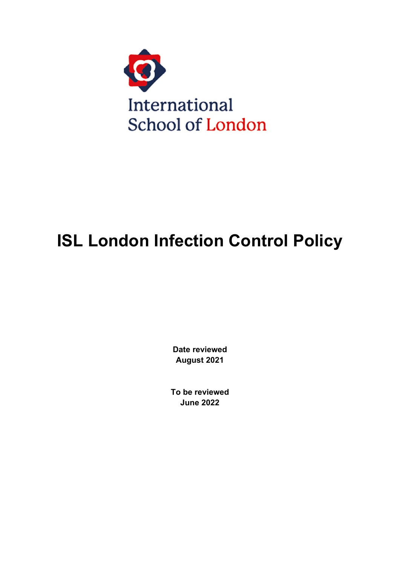

# **ISL London Infection Control Policy**

**Date reviewed August 2021**

**To be reviewed June 2022**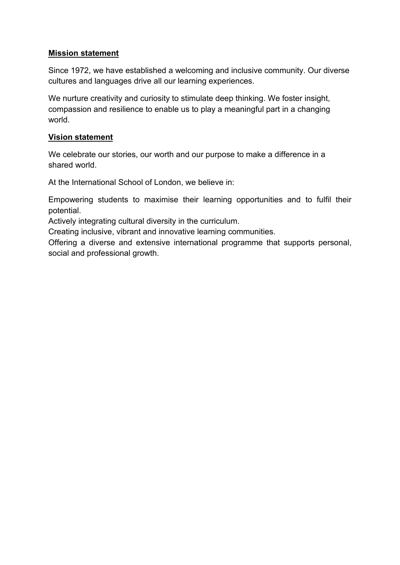#### **Mission statement**

Since 1972, we have established a welcoming and inclusive community. Our diverse cultures and languages drive all our learning experiences.

We nurture creativity and curiosity to stimulate deep thinking. We foster insight, compassion and resilience to enable us to play a meaningful part in a changing world.

#### **Vision statement**

We celebrate our stories, our worth and our purpose to make a difference in a shared world.

At the International School of London, we believe in:

Empowering students to maximise their learning opportunities and to fulfil their potential.

Actively integrating cultural diversity in the curriculum.

Creating inclusive, vibrant and innovative learning communities.

Offering a diverse and extensive international programme that supports personal, social and professional growth.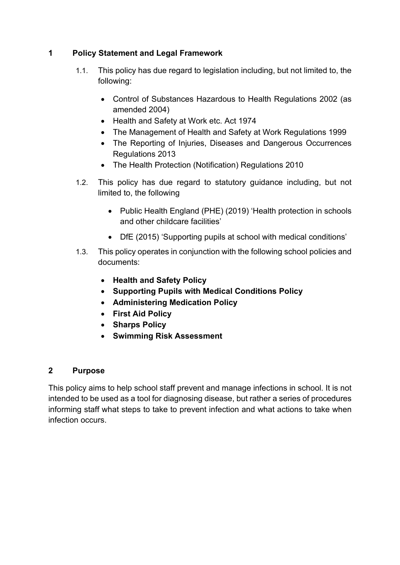# **1 Policy Statement and Legal Framework**

- 1.1. This policy has due regard to legislation including, but not limited to, the following:
	- Control of Substances Hazardous to Health Regulations 2002 (as amended 2004)
	- Health and Safety at Work etc. Act 1974
	- The Management of Health and Safety at Work Regulations 1999
	- The Reporting of Injuries, Diseases and Dangerous Occurrences Regulations 2013
	- The Health Protection (Notification) Regulations 2010
- 1.2. This policy has due regard to statutory guidance including, but not limited to, the following
	- Public Health England (PHE) (2019) 'Health protection in schools and other childcare facilities'
	- DfE (2015) 'Supporting pupils at school with medical conditions'
- 1.3. This policy operates in conjunction with the following school policies and documents:
	- **Health and Safety Policy**
	- **Supporting Pupils with Medical Conditions Policy**
	- **Administering Medication Policy**
	- **First Aid Policy**
	- **Sharps Policy**
	- **Swimming Risk Assessment**

# **2 Purpose**

This policy aims to help school staff prevent and manage infections in school. It is not intended to be used as a tool for diagnosing disease, but rather a series of procedures informing staff what steps to take to prevent infection and what actions to take when infection occurs.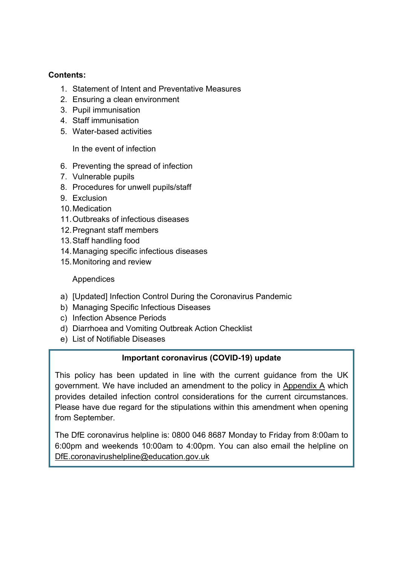#### **Contents:**

- 1. Statement of Intent and Preventative Measures
- 2. [Ensuring a clean environment](#page-5-0)
- 3. Pupil immunisation
- 4. [Staff immunisation](#page-7-0)
- 5. [Water-based activities](#page-7-1)

In the event of infection

- 6. [Preventing the spread of infection](#page-7-2)
- 7. [Vulnerable pupils](#page-8-0)
- 8. [Procedures for unwell pupils/staff](#page-8-1)
- 9. [Exclusion](#page-9-0)
- 10[.Medication](#page-10-0)
- 11.Outbreaks of infectious diseases
- 12[.Pregnant staff members](#page-11-0)
- 13.Staff handling food
- 14.Managing specific infectious diseases
- 15[.Monitoring and review](#page-12-0)

#### Appendices

- a) [Updated] Infection Control During the Coronavirus Pandemic
- b) [Managing Specific Infectious Diseases](#page-20-0)
- c) Infection Absence Periods
- d) [Diarrhoea and Vomiting Outbreak Action Checklist](#page-29-0)
- e) [List of Notifiable Diseases](#page-30-0)

# **Important coronavirus (COVID-19) update**

This policy has been updated in line with the current guidance from the UK government. We have included an amendment to the policy in [Appendix A](#page-12-1) which provides detailed infection control considerations for the current circumstances. Please have due regard for the stipulations within this amendment when opening from September.

The DfE coronavirus helpline is: 0800 046 8687 Monday to Friday from 8:00am to 6:00pm and weekends 10:00am to 4:00pm. You can also email the helpline on [DfE.coronavirushelpline@education.gov.uk](mailto:DfE.coronavirushelpline@education.gov.uk)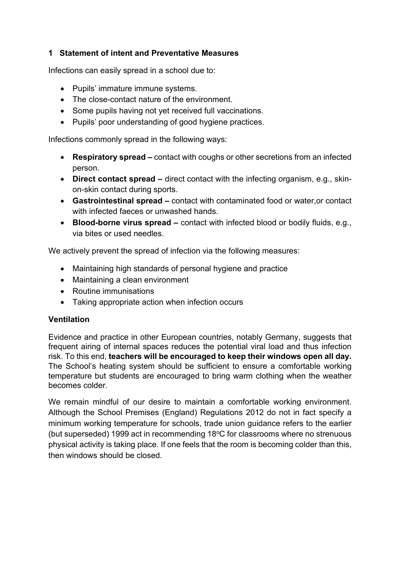# **1 Statement of intent and Preventative Measures**

Infections can easily spread in a school due to:

- Pupils' immature immune systems.
- The close-contact nature of the environment.
- Some pupils having not yet received full vaccinations.
- Pupils' poor understanding of good hygiene practices.

Infections commonly spread in the following ways:

- **Respiratory spread –** contact with coughs or other secretions from an infected person.
- **Direct contact spread –** direct contact with the infecting organism, e.g., skinon-skin contact during sports.
- **Gastrointestinal spread –** contact with contaminated food or water,or contact with infected faeces or unwashed hands.
- **Blood-borne virus spread –** contact with infected blood or bodily fluids, e.g., via bites or used needles.

We actively prevent the spread of infection via the following measures:

- Maintaining high standards of personal hygiene and practice
- Maintaining a clean environment
- Routine immunisations
- Taking appropriate action when infection occurs

# **Ventilation**

Evidence and practice in other European countries, notably Germany, suggests that frequent airing of internal spaces reduces the potential viral load and thus infection risk. To this end, **teachers will be encouraged to keep their windows open all day.**  The School's heating system should be sufficient to ensure a comfortable working temperature but students are encouraged to bring warm clothing when the weather becomes colder.

We remain mindful of our desire to maintain a comfortable working environment. Although the School Premises (England) Regulations 2012 do not in fact specify a minimum working temperature for schools, trade union guidance refers to the earlier (but superseded) 1999 act in recommending 18 $\degree$ C for classrooms where no strenuous physical activity is taking place. If one feels that the room is becoming colder than this, then windows should be closed.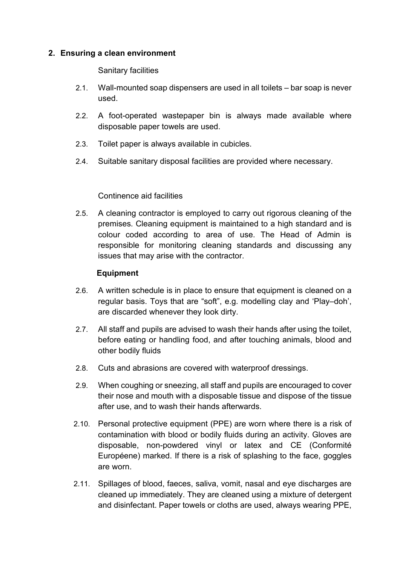#### <span id="page-5-0"></span>**2. Ensuring a clean environment**

Sanitary facilities

- 2.1. Wall-mounted soap dispensers are used in all toilets bar soap is never used.
- 2.2. A foot-operated wastepaper bin is always made available where disposable paper towels are used.
- 2.3. Toilet paper is always available in cubicles.
- 2.4. Suitable sanitary disposal facilities are provided where necessary.

#### Continence aid facilities

2.5. A cleaning contractor is employed to carry out rigorous cleaning of the premises. Cleaning equipment is maintained to a high standard and is colour coded according to area of use. The Head of Admin is responsible for monitoring cleaning standards and discussing any issues that may arise with the contractor.

#### **Equipment**

- 2.6. A written schedule is in place to ensure that equipment is cleaned on a regular basis. Toys that are "soft", e.g. modelling clay and 'Play–doh', are discarded whenever they look dirty.
- 2.7. All staff and pupils are advised to wash their hands after using the toilet, before eating or handling food, and after touching animals, blood and other bodily fluids
- 2.8. Cuts and abrasions are covered with waterproof dressings.
- 2.9. When coughing or sneezing, all staff and pupils are encouraged to cover their nose and mouth with a disposable tissue and dispose of the tissue after use, and to wash their hands afterwards.
- 2.10. Personal protective equipment (PPE) are worn where there is a risk of contamination with blood or bodily fluids during an activity. Gloves are disposable, non-powdered vinyl or latex and CE (Conformité Européene) marked. If there is a risk of splashing to the face, goggles are worn.
- 2.11. Spillages of blood, faeces, saliva, vomit, nasal and eye discharges are cleaned up immediately. They are cleaned using a mixture of detergent and disinfectant. Paper towels or cloths are used, always wearing PPE,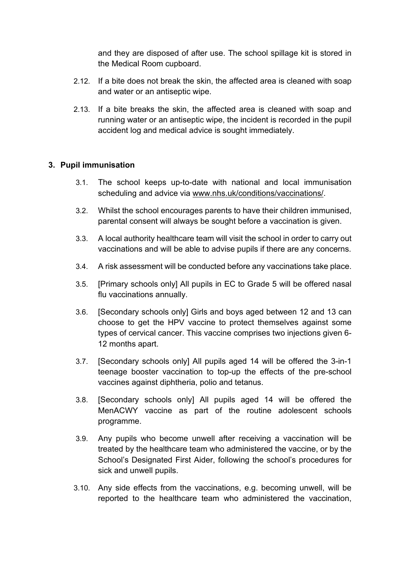and they are disposed of after use. The school spillage kit is stored in the Medical Room cupboard.

- 2.12. If a bite does not break the skin, the affected area is cleaned with soap and water or an antiseptic wipe.
- 2.13. If a bite breaks the skin, the affected area is cleaned with soap and running water or an antiseptic wipe, the incident is recorded in the pupil accident log and medical advice is sought immediately.

# **3. Pupil immunisation**

- 3.1. The school keeps up-to-date with national and local immunisation scheduling and advice via [www.nhs.uk/conditions/vaccinations/.](http://www.nhs.uk/conditions/vaccinations/)
- 3.2. Whilst the school encourages parents to have their children immunised, parental consent will always be sought before a vaccination is given.
- 3.3. A local authority healthcare team will visit the school in order to carry out vaccinations and will be able to advise pupils if there are any concerns.
- 3.4. A risk assessment will be conducted before any vaccinations take place.
- 3.5. [Primary schools only] All pupils in EC to Grade 5 will be offered nasal flu vaccinations annually.
- 3.6. [Secondary schools only] Girls and boys aged between 12 and 13 can choose to get the HPV vaccine to protect themselves against some types of cervical cancer. This vaccine comprises two injections given 6- 12 months apart.
- 3.7. [Secondary schools only] All pupils aged 14 will be offered the 3-in-1 teenage booster vaccination to top-up the effects of the pre-school vaccines against diphtheria, polio and tetanus.
- 3.8. [Secondary schools only] All pupils aged 14 will be offered the MenACWY vaccine as part of the routine adolescent schools programme.
- 3.9. Any pupils who become unwell after receiving a vaccination will be treated by the healthcare team who administered the vaccine, or by the School's Designated First Aider, following the school's procedures for sick and unwell pupils.
- 3.10. Any side effects from the vaccinations, e.g. becoming unwell, will be reported to the healthcare team who administered the vaccination,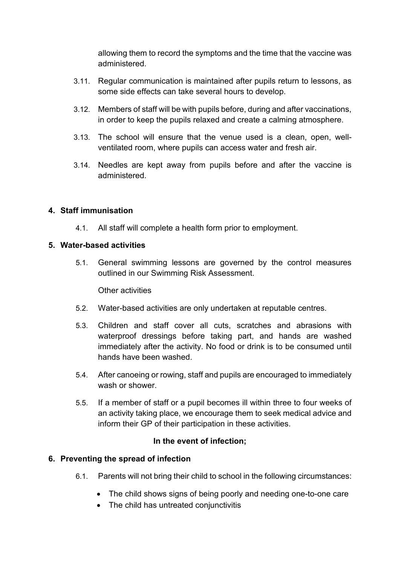allowing them to record the symptoms and the time that the vaccine was administered.

- 3.11. Regular communication is maintained after pupils return to lessons, as some side effects can take several hours to develop.
- 3.12. Members of staff will be with pupils before, during and after vaccinations, in order to keep the pupils relaxed and create a calming atmosphere.
- 3.13. The school will ensure that the venue used is a clean, open, wellventilated room, where pupils can access water and fresh air.
- 3.14. Needles are kept away from pupils before and after the vaccine is administered.

# <span id="page-7-0"></span>**4. Staff immunisation**

4.1. All staff will complete a health form prior to employment.

# <span id="page-7-1"></span>**5. Water-based activities**

5.1. General swimming lessons are governed by the control measures outlined in our Swimming Risk Assessment.

# Other activities

- 5.2. Water-based activities are only undertaken at reputable centres.
- 5.3. Children and staff cover all cuts, scratches and abrasions with waterproof dressings before taking part, and hands are washed immediately after the activity. No food or drink is to be consumed until hands have been washed.
- 5.4. After canoeing or rowing, staff and pupils are encouraged to immediately wash or shower
- 5.5. If a member of staff or a pupil becomes ill within three to four weeks of an activity taking place, we encourage them to seek medical advice and inform their GP of their participation in these activities.

# **In the event of infection;**

# <span id="page-7-2"></span>**6. Preventing the spread of infection**

- 6.1. Parents will not bring their child to school in the following circumstances:
	- The child shows signs of being poorly and needing one-to-one care
	- The child has untreated conjunctivitis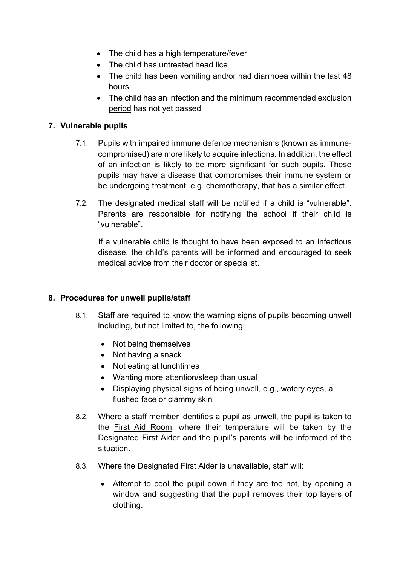- The child has a high temperature/fever
- The child has untreated head lice
- The child has been vomiting and/or had diarrhoea within the last 48 hours
- The child has an infection and the minimum recommended exclusion period has not yet passed

# <span id="page-8-0"></span>**7. Vulnerable pupils**

- 7.1. Pupils with impaired immune defence mechanisms (known as immunecompromised) are more likely to acquire infections. In addition, the effect of an infection is likely to be more significant for such pupils. These pupils may have a disease that compromises their immune system or be undergoing treatment, e.g. chemotherapy, that has a similar effect.
- 7.2. The designated medical staff will be notified if a child is "vulnerable". Parents are responsible for notifying the school if their child is "vulnerable".

If a vulnerable child is thought to have been exposed to an infectious disease, the child's parents will be informed and encouraged to seek medical advice from their doctor or specialist.

# <span id="page-8-1"></span>**8. Procedures for unwell pupils/staff**

- 8.1. Staff are required to know the warning signs of pupils becoming unwell including, but not limited to, the following:
	- Not being themselves
	- Not having a snack
	- Not eating at lunchtimes
	- Wanting more attention/sleep than usual
	- Displaying physical signs of being unwell, e.g., watery eyes, a flushed face or clammy skin
- 8.2. Where a staff member identifies a pupil as unwell, the pupil is taken to the First Aid Room, where their temperature will be taken by the Designated First Aider and the pupil's parents will be informed of the situation.
- 8.3. Where the Designated First Aider is unavailable, staff will:
	- Attempt to cool the pupil down if they are too hot, by opening a window and suggesting that the pupil removes their top layers of clothing.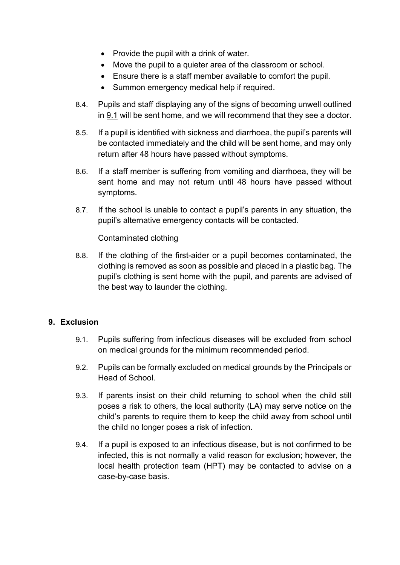- Provide the pupil with a drink of water.
- Move the pupil to a quieter area of the classroom or school.
- Ensure there is a staff member available to comfort the pupil.
- Summon emergency medical help if required.
- 8.4. Pupils and staff displaying any of the signs of becoming unwell outlined in 9.1 will be sent home, and we will recommend that they see a doctor.
- 8.5. If a pupil is identified with sickness and diarrhoea, the pupil's parents will be contacted immediately and the child will be sent home, and may only return after 48 hours have passed without symptoms.
- 8.6. If a staff member is suffering from vomiting and diarrhoea, they will be sent home and may not return until 48 hours have passed without symptoms.
- 8.7. If the school is unable to contact a pupil's parents in any situation, the pupil's alternative emergency contacts will be contacted.

Contaminated clothing

8.8. If the clothing of the first-aider or a pupil becomes contaminated, the clothing is removed as soon as possible and placed in a plastic bag. The pupil's clothing is sent home with the pupil, and parents are advised of the best way to launder the clothing.

# <span id="page-9-0"></span>**9. Exclusion**

- 9.1. Pupils suffering from infectious diseases will be excluded from school on medical grounds for the minimum recommended period.
- 9.2. Pupils can be formally excluded on medical grounds by the Principals or Head of School.
- 9.3. If parents insist on their child returning to school when the child still poses a risk to others, the local authority (LA) may serve notice on the child's parents to require them to keep the child away from school until the child no longer poses a risk of infection.
- 9.4. If a pupil is exposed to an infectious disease, but is not confirmed to be infected, this is not normally a valid reason for exclusion; however, the local health protection team (HPT) may be contacted to advise on a case-by-case basis.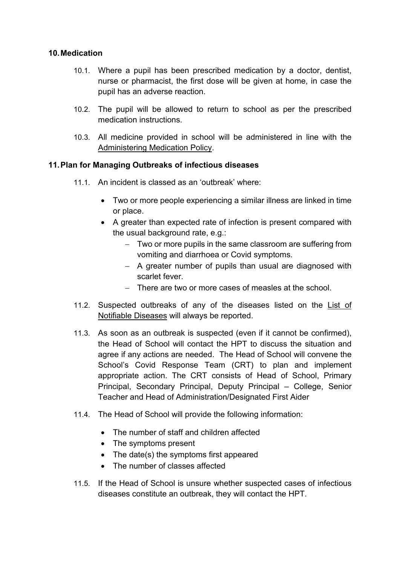#### <span id="page-10-0"></span>**10.Medication**

- 10.1. Where a pupil has been prescribed medication by a doctor, dentist, nurse or pharmacist, the first dose will be given at home, in case the pupil has an adverse reaction.
- 10.2. The pupil will be allowed to return to school as per the prescribed medication instructions.
- 10.3. All medicine provided in school will be administered in line with the Administering Medication Policy.

# **11.Plan for Managing Outbreaks of infectious diseases**

- 11.1. An incident is classed as an 'outbreak' where:
	- Two or more people experiencing a similar illness are linked in time or place.
	- A greater than expected rate of infection is present compared with the usual background rate, e.g.:
		- − Two or more pupils in the same classroom are suffering from vomiting and diarrhoea or Covid symptoms.
		- − A greater number of pupils than usual are diagnosed with scarlet fever.
		- − There are two or more cases of measles at the school.
- 11.2. Suspected outbreaks of any of the diseases listed on the List of Notifiable Diseases will always be reported.
- 11.3. As soon as an outbreak is suspected (even if it cannot be confirmed), the Head of School will contact the HPT to discuss the situation and agree if any actions are needed. The Head of School will convene the School's Covid Response Team (CRT) to plan and implement appropriate action. The CRT consists of Head of School, Primary Principal, Secondary Principal, Deputy Principal – College, Senior Teacher and Head of Administration/Designated First Aider
- 11.4. The Head of School will provide the following information:
	- The number of staff and children affected
	- The symptoms present
	- The date(s) the symptoms first appeared
	- The number of classes affected
- 11.5. If the Head of School is unsure whether suspected cases of infectious diseases constitute an outbreak, they will contact the HPT.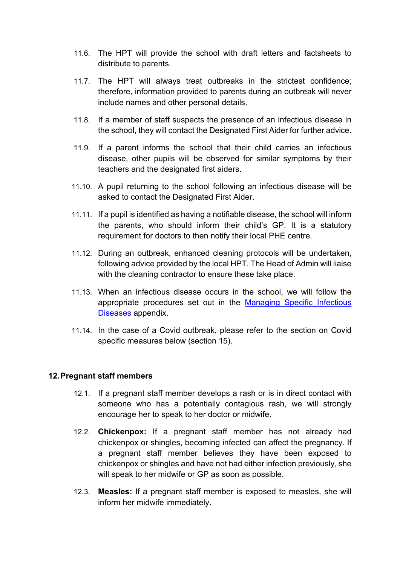- 11.6. The HPT will provide the school with draft letters and factsheets to distribute to parents.
- 11.7. The HPT will always treat outbreaks in the strictest confidence; therefore, information provided to parents during an outbreak will never include names and other personal details.
- 11.8. If a member of staff suspects the presence of an infectious disease in the school, they will contact the Designated First Aider for further advice.
- 11.9. If a parent informs the school that their child carries an infectious disease, other pupils will be observed for similar symptoms by their teachers and the designated first aiders.
- 11.10. A pupil returning to the school following an infectious disease will be asked to contact the Designated First Aider.
- 11.11. If a pupil is identified as having a notifiable disease, the school will inform the parents, who should inform their child's GP. It is a statutory requirement for doctors to then notify their local PHE centre.
- 11.12. During an outbreak, enhanced cleaning protocols will be undertaken, following advice provided by the local HPT. The Head of Admin will liaise with the cleaning contractor to ensure these take place.
- 11.13. When an infectious disease occurs in the school, we will follow the appropriate procedures set out in the Managing Specific Infectious Diseases appendix.
- 11.14. In the case of a Covid outbreak, please refer to the section on Covid specific measures below (section 15).

#### <span id="page-11-0"></span>**12.Pregnant staff members**

- 12.1. If a pregnant staff member develops a rash or is in direct contact with someone who has a potentially contagious rash, we will strongly encourage her to speak to her doctor or midwife.
- 12.2. **Chickenpox:** If a pregnant staff member has not already had chickenpox or shingles, becoming infected can affect the pregnancy. If a pregnant staff member believes they have been exposed to chickenpox or shingles and have not had either infection previously, she will speak to her midwife or GP as soon as possible.
- 12.3. **Measles:** If a pregnant staff member is exposed to measles, she will inform her midwife immediately.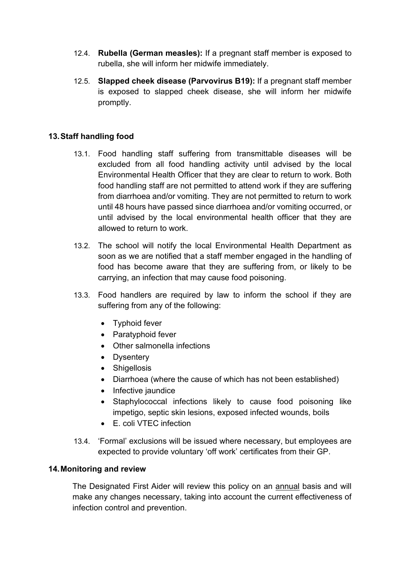- 12.4. **Rubella (German measles):** If a pregnant staff member is exposed to rubella, she will inform her midwife immediately.
- 12.5. **Slapped cheek disease (Parvovirus B19):** If a pregnant staff member is exposed to slapped cheek disease, she will inform her midwife promptly.

# **13.Staff handling food**

- 13.1. Food handling staff suffering from transmittable diseases will be excluded from all food handling activity until advised by the local Environmental Health Officer that they are clear to return to work. Both food handling staff are not permitted to attend work if they are suffering from diarrhoea and/or vomiting. They are not permitted to return to work until 48 hours have passed since diarrhoea and/or vomiting occurred, or until advised by the local environmental health officer that they are allowed to return to work.
- 13.2. The school will notify the local Environmental Health Department as soon as we are notified that a staff member engaged in the handling of food has become aware that they are suffering from, or likely to be carrying, an infection that may cause food poisoning.
- 13.3. Food handlers are required by law to inform the school if they are suffering from any of the following:
	- Typhoid fever
	- Paratyphoid fever
	- Other salmonella infections
	- Dysentery
	- Shigellosis
	- Diarrhoea (where the cause of which has not been established)
	- Infective jaundice
	- Staphylococcal infections likely to cause food poisoning like impetigo, septic skin lesions, exposed infected wounds, boils
	- E. coli VTEC infection
- 13.4. 'Formal' exclusions will be issued where necessary, but employees are expected to provide voluntary 'off work' certificates from their GP.

# <span id="page-12-0"></span>**14.Monitoring and review**

<span id="page-12-1"></span>The Designated First Aider will review this policy on an annual basis and will make any changes necessary, taking into account the current effectiveness of infection control and prevention.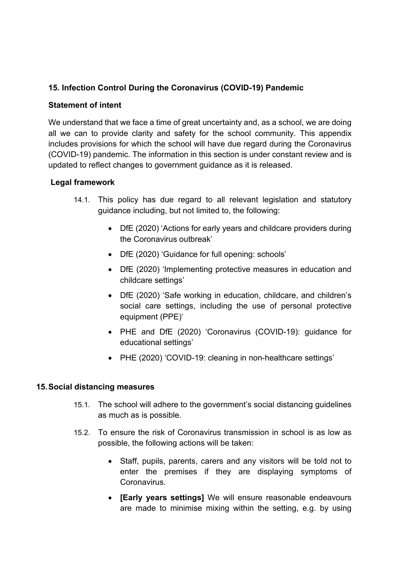# **15. Infection Control During the Coronavirus (COVID-19) Pandemic**

#### **Statement of intent**

We understand that we face a time of great uncertainty and, as a school, we are doing all we can to provide clarity and safety for the school community. This appendix includes provisions for which the school will have due regard during the Coronavirus (COVID-19) pandemic. The information in this section is under constant review and is updated to reflect changes to government guidance as it is released.

#### **Legal framework**

- 14.1. This policy has due regard to all relevant legislation and statutory guidance including, but not limited to, the following:
	- DfE (2020) 'Actions for early years and childcare providers during the Coronavirus outbreak'
	- DfE (2020) 'Guidance for full opening: schools'
	- DfE (2020) 'Implementing protective measures in education and childcare settings'
	- DfE (2020) 'Safe working in education, childcare, and children's social care settings, including the use of personal protective equipment (PPE)'
	- PHE and DfE (2020) 'Coronavirus (COVID-19): guidance for educational settings'
	- PHE (2020) 'COVID-19: cleaning in non-healthcare settings'

#### **15.Social distancing measures**

- 15.1. The school will adhere to the government's social distancing guidelines as much as is possible.
- 15.2. To ensure the risk of Coronavirus transmission in school is as low as possible, the following actions will be taken:
	- Staff, pupils, parents, carers and any visitors will be told not to enter the premises if they are displaying symptoms of **Coronavirus**
	- **[Early years settings]** We will ensure reasonable endeavours are made to minimise mixing within the setting, e.g. by using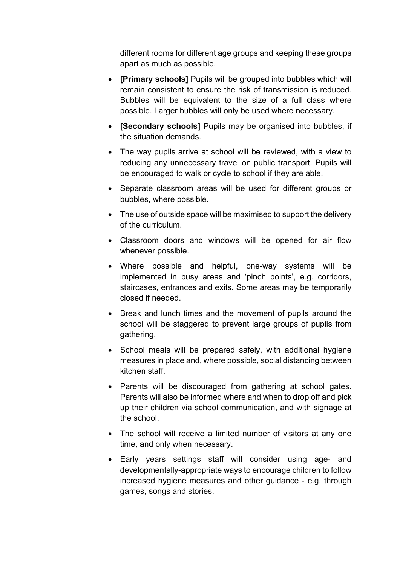different rooms for different age groups and keeping these groups apart as much as possible.

- **[Primary schools]** Pupils will be grouped into bubbles which will remain consistent to ensure the risk of transmission is reduced. Bubbles will be equivalent to the size of a full class where possible. Larger bubbles will only be used where necessary.
- **[Secondary schools]** Pupils may be organised into bubbles, if the situation demands.
- The way pupils arrive at school will be reviewed, with a view to reducing any unnecessary travel on public transport. Pupils will be encouraged to walk or cycle to school if they are able.
- Separate classroom areas will be used for different groups or bubbles, where possible.
- The use of outside space will be maximised to support the delivery of the curriculum.
- Classroom doors and windows will be opened for air flow whenever possible.
- Where possible and helpful, one-way systems will be implemented in busy areas and 'pinch points', e.g. corridors, staircases, entrances and exits. Some areas may be temporarily closed if needed.
- Break and lunch times and the movement of pupils around the school will be staggered to prevent large groups of pupils from gathering.
- School meals will be prepared safely, with additional hygiene measures in place and, where possible, social distancing between kitchen staff.
- Parents will be discouraged from gathering at school gates. Parents will also be informed where and when to drop off and pick up their children via school communication, and with signage at the school.
- The school will receive a limited number of visitors at any one time, and only when necessary.
- Early years settings staff will consider using age- and developmentally-appropriate ways to encourage children to follow increased hygiene measures and other guidance - e.g. through games, songs and stories.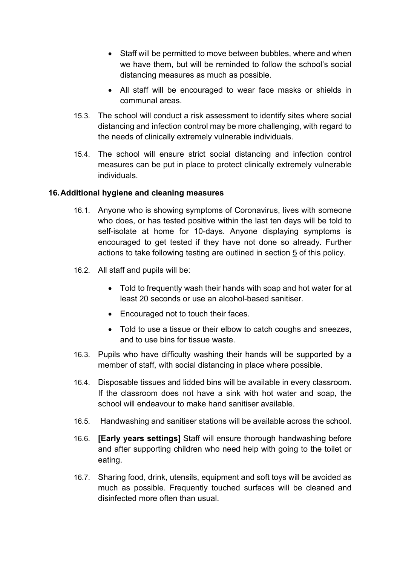- Staff will be permitted to move between bubbles, where and when we have them, but will be reminded to follow the school's social distancing measures as much as possible.
- All staff will be encouraged to wear face masks or shields in communal areas.
- 15.3. The school will conduct a risk assessment to identify sites where social distancing and infection control may be more challenging, with regard to the needs of clinically extremely vulnerable individuals.
- 15.4. The school will ensure strict social distancing and infection control measures can be put in place to protect clinically extremely vulnerable individuals.

#### **16.Additional hygiene and cleaning measures**

- 16.1. Anyone who is showing symptoms of Coronavirus, lives with someone who does, or has tested positive within the last ten days will be told to self-isolate at home for 10-days. Anyone displaying symptoms is encouraged to get tested if they have not done so already. Further actions to take following testing are outlined in section 5 of this policy.
- 16.2. All staff and pupils will be:
	- Told to frequently wash their hands with soap and hot water for at least 20 seconds or use an alcohol-based sanitiser.
	- Encouraged not to touch their faces.
	- Told to use a tissue or their elbow to catch coughs and sneezes, and to use bins for tissue waste.
- 16.3. Pupils who have difficulty washing their hands will be supported by a member of staff, with social distancing in place where possible.
- 16.4. Disposable tissues and lidded bins will be available in every classroom. If the classroom does not have a sink with hot water and soap, the school will endeavour to make hand sanitiser available.
- 16.5. Handwashing and sanitiser stations will be available across the school.
- 16.6. **[Early years settings]** Staff will ensure thorough handwashing before and after supporting children who need help with going to the toilet or eating.
- 16.7. Sharing food, drink, utensils, equipment and soft toys will be avoided as much as possible. Frequently touched surfaces will be cleaned and disinfected more often than usual.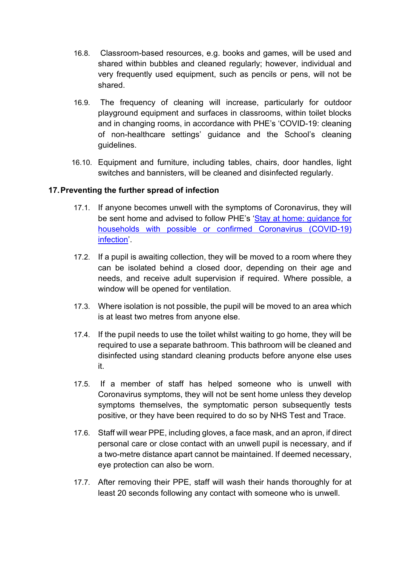- 16.8. Classroom-based resources, e.g. books and games, will be used and shared within bubbles and cleaned regularly; however, individual and very frequently used equipment, such as pencils or pens, will not be shared.
- 16.9. The frequency of cleaning will increase, particularly for outdoor playground equipment and surfaces in classrooms, within toilet blocks and in changing rooms, in accordance with PHE's 'COVID-19: cleaning of non-healthcare settings' guidance and the School's cleaning guidelines.
- 16.10. Equipment and furniture, including tables, chairs, door handles, light switches and bannisters, will be cleaned and disinfected regularly.

# **17.Preventing the further spread of infection**

- 17.1. If anyone becomes unwell with the symptoms of Coronavirus, they will be sent home and advised to follow PHE's 'Stay at home: guidance for households with possible or confirmed Coronavirus (COVID-19) infection'.
- 17.2. If a pupil is awaiting collection, they will be moved to a room where they can be isolated behind a closed door, depending on their age and needs, and receive adult supervision if required. Where possible, a window will be opened for ventilation.
- 17.3. Where isolation is not possible, the pupil will be moved to an area which is at least two metres from anyone else.
- 17.4. If the pupil needs to use the toilet whilst waiting to go home, they will be required to use a separate bathroom. This bathroom will be cleaned and disinfected using standard cleaning products before anyone else uses it.
- 17.5. If a member of staff has helped someone who is unwell with Coronavirus symptoms, they will not be sent home unless they develop symptoms themselves, the symptomatic person subsequently tests positive, or they have been required to do so by NHS Test and Trace.
- 17.6. Staff will wear PPE, including gloves, a face mask, and an apron, if direct personal care or close contact with an unwell pupil is necessary, and if a two-metre distance apart cannot be maintained. If deemed necessary, eye protection can also be worn.
- 17.7. After removing their PPE, staff will wash their hands thoroughly for at least 20 seconds following any contact with someone who is unwell.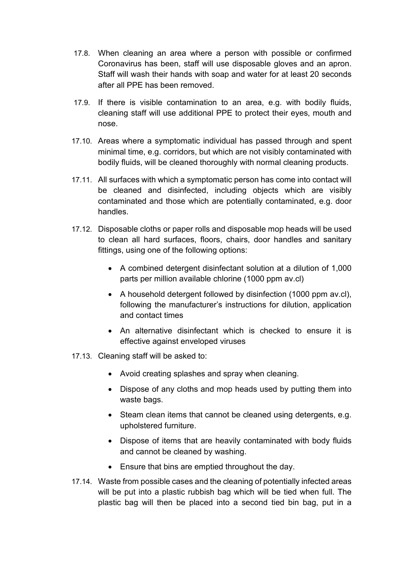- 17.8. When cleaning an area where a person with possible or confirmed Coronavirus has been, staff will use disposable gloves and an apron. Staff will wash their hands with soap and water for at least 20 seconds after all PPE has been removed.
- 17.9. If there is visible contamination to an area, e.g. with bodily fluids, cleaning staff will use additional PPE to protect their eyes, mouth and nose.
- 17.10. Areas where a symptomatic individual has passed through and spent minimal time, e.g. corridors, but which are not visibly contaminated with bodily fluids, will be cleaned thoroughly with normal cleaning products.
- 17.11. All surfaces with which a symptomatic person has come into contact will be cleaned and disinfected, including objects which are visibly contaminated and those which are potentially contaminated, e.g. door handles.
- 17.12. Disposable cloths or paper rolls and disposable mop heads will be used to clean all hard surfaces, floors, chairs, door handles and sanitary fittings, using one of the following options:
	- A combined detergent disinfectant solution at a dilution of 1,000 parts per million available chlorine (1000 ppm av.cl)
	- A household detergent followed by disinfection (1000 ppm av.cl), following the manufacturer's instructions for dilution, application and contact times
	- An alternative disinfectant which is checked to ensure it is effective against enveloped viruses
- 17.13. Cleaning staff will be asked to:
	- Avoid creating splashes and spray when cleaning.
	- Dispose of any cloths and mop heads used by putting them into waste bags.
	- Steam clean items that cannot be cleaned using detergents, e.g. upholstered furniture.
	- Dispose of items that are heavily contaminated with body fluids and cannot be cleaned by washing.
	- Ensure that bins are emptied throughout the day.
- 17.14. Waste from possible cases and the cleaning of potentially infected areas will be put into a plastic rubbish bag which will be tied when full. The plastic bag will then be placed into a second tied bin bag, put in a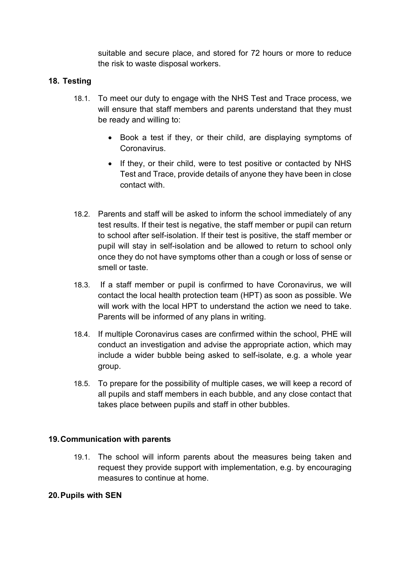suitable and secure place, and stored for 72 hours or more to reduce the risk to waste disposal workers.

# **18. Testing**

- 18.1. To meet our duty to engage with the NHS Test and Trace process, we will ensure that staff members and parents understand that they must be ready and willing to:
	- Book a test if they, or their child, are displaying symptoms of Coronavirus.
	- If they, or their child, were to test positive or contacted by NHS Test and Trace, provide details of anyone they have been in close contact with.
- 18.2. Parents and staff will be asked to inform the school immediately of any test results. If their test is negative, the staff member or pupil can return to school after self-isolation. If their test is positive, the staff member or pupil will stay in self-isolation and be allowed to return to school only once they do not have symptoms other than a cough or loss of sense or smell or taste.
- 18.3. If a staff member or pupil is confirmed to have Coronavirus, we will contact the local health protection team (HPT) as soon as possible. We will work with the local HPT to understand the action we need to take. Parents will be informed of any plans in writing.
- 18.4. If multiple Coronavirus cases are confirmed within the school, PHE will conduct an investigation and advise the appropriate action, which may include a wider bubble being asked to self-isolate, e.g. a whole year group.
- 18.5. To prepare for the possibility of multiple cases, we will keep a record of all pupils and staff members in each bubble, and any close contact that takes place between pupils and staff in other bubbles.

#### **19.Communication with parents**

19.1. The school will inform parents about the measures being taken and request they provide support with implementation, e.g. by encouraging measures to continue at home.

#### **20.Pupils with SEN**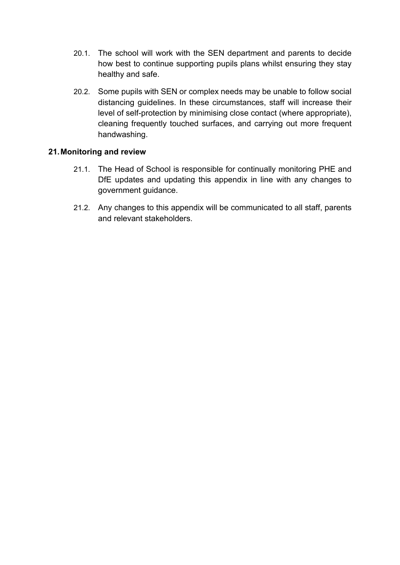- 20.1. The school will work with the SEN department and parents to decide how best to continue supporting pupils plans whilst ensuring they stay healthy and safe.
- 20.2. Some pupils with SEN or complex needs may be unable to follow social distancing guidelines. In these circumstances, staff will increase their level of self-protection by minimising close contact (where appropriate), cleaning frequently touched surfaces, and carrying out more frequent handwashing.

# **21.Monitoring and review**

- 21.1. The Head of School is responsible for continually monitoring PHE and DfE updates and updating this appendix in line with any changes to government guidance.
- 21.2. Any changes to this appendix will be communicated to all staff, parents and relevant stakeholders.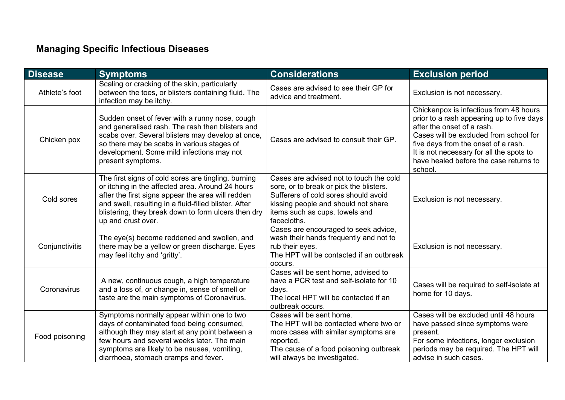# **Managing Specific Infectious Diseases**

<span id="page-20-0"></span>

| <b>Disease</b> | <b>Symptoms</b>                                                                                                                                                                                                                                                                                    | <b>Considerations</b>                                                                                                                                                                                              | <b>Exclusion period</b>                                                                                                                                                                                                                                                                             |
|----------------|----------------------------------------------------------------------------------------------------------------------------------------------------------------------------------------------------------------------------------------------------------------------------------------------------|--------------------------------------------------------------------------------------------------------------------------------------------------------------------------------------------------------------------|-----------------------------------------------------------------------------------------------------------------------------------------------------------------------------------------------------------------------------------------------------------------------------------------------------|
| Athlete's foot | Scaling or cracking of the skin, particularly<br>between the toes, or blisters containing fluid. The<br>infection may be itchy.                                                                                                                                                                    | Cases are advised to see their GP for<br>advice and treatment.                                                                                                                                                     | Exclusion is not necessary.                                                                                                                                                                                                                                                                         |
| Chicken pox    | Sudden onset of fever with a runny nose, cough<br>and generalised rash. The rash then blisters and<br>scabs over. Several blisters may develop at once,<br>so there may be scabs in various stages of<br>development. Some mild infections may not<br>present symptoms.                            | Cases are advised to consult their GP.                                                                                                                                                                             | Chickenpox is infectious from 48 hours<br>prior to a rash appearing up to five days<br>after the onset of a rash.<br>Cases will be excluded from school for<br>five days from the onset of a rash.<br>It is not necessary for all the spots to<br>have healed before the case returns to<br>school. |
| Cold sores     | The first signs of cold sores are tingling, burning<br>or itching in the affected area. Around 24 hours<br>after the first signs appear the area will redden<br>and swell, resulting in a fluid-filled blister. After<br>blistering, they break down to form ulcers then dry<br>up and crust over. | Cases are advised not to touch the cold<br>sore, or to break or pick the blisters.<br>Sufferers of cold sores should avoid<br>kissing people and should not share<br>items such as cups, towels and<br>facecloths. | Exclusion is not necessary.                                                                                                                                                                                                                                                                         |
| Conjunctivitis | The eye(s) become reddened and swollen, and<br>there may be a yellow or green discharge. Eyes<br>may feel itchy and 'gritty'.                                                                                                                                                                      | Cases are encouraged to seek advice,<br>wash their hands frequently and not to<br>rub their eyes.<br>The HPT will be contacted if an outbreak<br>occurs.                                                           | Exclusion is not necessary.                                                                                                                                                                                                                                                                         |
| Coronavirus    | A new, continuous cough, a high temperature<br>and a loss of, or change in, sense of smell or<br>taste are the main symptoms of Coronavirus.                                                                                                                                                       | Cases will be sent home, advised to<br>have a PCR test and self-isolate for 10<br>days.<br>The local HPT will be contacted if an<br>outbreak occurs.                                                               | Cases will be required to self-isolate at<br>home for 10 days.                                                                                                                                                                                                                                      |
| Food poisoning | Symptoms normally appear within one to two<br>days of contaminated food being consumed,<br>although they may start at any point between a<br>few hours and several weeks later. The main<br>symptoms are likely to be nausea, vomiting,<br>diarrhoea, stomach cramps and fever.                    | Cases will be sent home.<br>The HPT will be contacted where two or<br>more cases with similar symptoms are<br>reported.<br>The cause of a food poisoning outbreak<br>will always be investigated.                  | Cases will be excluded until 48 hours<br>have passed since symptoms were<br>present.<br>For some infections, longer exclusion<br>periods may be required. The HPT will<br>advise in such cases.                                                                                                     |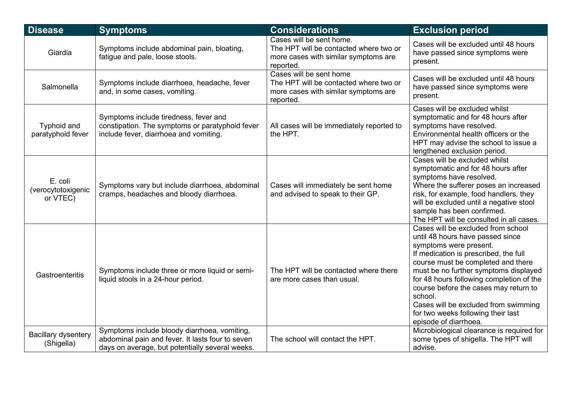| <b>Disease</b>                            | <b>Symptoms</b>                                                                                                                                     | <b>Considerations</b>                                                                                                   | <b>Exclusion period</b>                                                                                                                                                                                                                                                                                                                                                                                                         |
|-------------------------------------------|-----------------------------------------------------------------------------------------------------------------------------------------------------|-------------------------------------------------------------------------------------------------------------------------|---------------------------------------------------------------------------------------------------------------------------------------------------------------------------------------------------------------------------------------------------------------------------------------------------------------------------------------------------------------------------------------------------------------------------------|
| Giardia                                   | Symptoms include abdominal pain, bloating,<br>fatigue and pale, loose stools.                                                                       | Cases will be sent home.<br>The HPT will be contacted where two or<br>more cases with similar symptoms are<br>reported. | Cases will be excluded until 48 hours<br>have passed since symptoms were<br>present.                                                                                                                                                                                                                                                                                                                                            |
| Salmonella                                | Symptoms include diarrhoea, headache, fever<br>and, in some cases, vomiting.                                                                        | Cases will be sent home<br>The HPT will be contacted where two or<br>more cases with similar symptoms are<br>reported.  | Cases will be excluded until 48 hours<br>have passed since symptoms were<br>present.                                                                                                                                                                                                                                                                                                                                            |
| <b>Typhoid and</b><br>paratyphoid fever   | Symptoms include tiredness, fever and<br>constipation. The symptoms or paratyphoid fever<br>include fever, diarrhoea and vomiting.                  | All cases will be immediately reported to<br>the HPT.                                                                   | Cases will be excluded whilst<br>symptomatic and for 48 hours after<br>symptoms have resolved.<br>Environmental health officers or the<br>HPT may advise the school to issue a<br>lengthened exclusion period.                                                                                                                                                                                                                  |
| E. coli<br>(verocytotoxigenic<br>or VTEC) | Symptoms vary but include diarrhoea, abdominal<br>cramps, headaches and bloody diarrhoea.                                                           | Cases will immediately be sent home<br>and advised to speak to their GP.                                                | Cases will be excluded whilst<br>symptomatic and for 48 hours after<br>symptoms have resolved.<br>Where the sufferer poses an increased<br>risk, for example, food handlers, they<br>will be excluded until a negative stool<br>sample has been confirmed.<br>The HPT will be consulted in all cases.                                                                                                                           |
| Gastroenteritis                           | Symptoms include three or more liquid or semi-<br>liquid stools in a 24-hour period.                                                                | The HPT will be contacted where there<br>are more cases than usual.                                                     | Cases will be excluded from school<br>until 48 hours have passed since<br>symptoms were present.<br>If medication is prescribed, the full<br>course must be completed and there<br>must be no further symptoms displayed<br>for 48 hours following completion of the<br>course before the cases may return to<br>school.<br>Cases will be excluded from swimming<br>for two weeks following their last<br>episode of diarrhoea. |
| <b>Bacillary dysentery</b><br>(Shigella)  | Symptoms include bloody diarrhoea, vomiting,<br>abdominal pain and fever. It lasts four to seven<br>days on average, but potentially several weeks. | The school will contact the HPT.                                                                                        | Microbiological clearance is required for<br>some types of shigella. The HPT will<br>advise.                                                                                                                                                                                                                                                                                                                                    |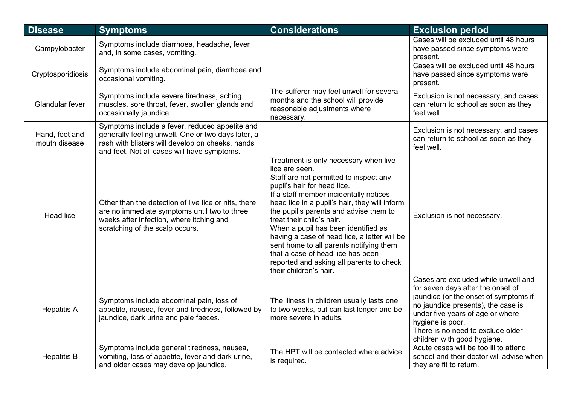| <b>Disease</b>                  | <b>Symptoms</b>                                                                                                                                                                                         | <b>Considerations</b>                                                                                                                                                                                                                                                                                                                                                                                                                                                                                                                           | <b>Exclusion period</b>                                                                                                                                                                                                                                                             |
|---------------------------------|---------------------------------------------------------------------------------------------------------------------------------------------------------------------------------------------------------|-------------------------------------------------------------------------------------------------------------------------------------------------------------------------------------------------------------------------------------------------------------------------------------------------------------------------------------------------------------------------------------------------------------------------------------------------------------------------------------------------------------------------------------------------|-------------------------------------------------------------------------------------------------------------------------------------------------------------------------------------------------------------------------------------------------------------------------------------|
| Campylobacter                   | Symptoms include diarrhoea, headache, fever<br>and, in some cases, vomiting.                                                                                                                            |                                                                                                                                                                                                                                                                                                                                                                                                                                                                                                                                                 | Cases will be excluded until 48 hours<br>have passed since symptoms were<br>present.                                                                                                                                                                                                |
| Cryptosporidiosis               | Symptoms include abdominal pain, diarrhoea and<br>occasional vomiting.                                                                                                                                  |                                                                                                                                                                                                                                                                                                                                                                                                                                                                                                                                                 | Cases will be excluded until 48 hours<br>have passed since symptoms were<br>present.                                                                                                                                                                                                |
| <b>Glandular fever</b>          | Symptoms include severe tiredness, aching<br>muscles, sore throat, fever, swollen glands and<br>occasionally jaundice.                                                                                  | The sufferer may feel unwell for several<br>months and the school will provide<br>reasonable adjustments where<br>necessary.                                                                                                                                                                                                                                                                                                                                                                                                                    | Exclusion is not necessary, and cases<br>can return to school as soon as they<br>feel well.                                                                                                                                                                                         |
| Hand, foot and<br>mouth disease | Symptoms include a fever, reduced appetite and<br>generally feeling unwell. One or two days later, a<br>rash with blisters will develop on cheeks, hands<br>and feet. Not all cases will have symptoms. |                                                                                                                                                                                                                                                                                                                                                                                                                                                                                                                                                 | Exclusion is not necessary, and cases<br>can return to school as soon as they<br>feel well.                                                                                                                                                                                         |
| <b>Head lice</b>                | Other than the detection of live lice or nits, there<br>are no immediate symptoms until two to three<br>weeks after infection, where itching and<br>scratching of the scalp occurs.                     | Treatment is only necessary when live<br>lice are seen.<br>Staff are not permitted to inspect any<br>pupil's hair for head lice.<br>If a staff member incidentally notices<br>head lice in a pupil's hair, they will inform<br>the pupil's parents and advise them to<br>treat their child's hair.<br>When a pupil has been identified as<br>having a case of head lice, a letter will be<br>sent home to all parents notifying them<br>that a case of head lice has been<br>reported and asking all parents to check<br>their children's hair. | Exclusion is not necessary.                                                                                                                                                                                                                                                         |
| <b>Hepatitis A</b>              | Symptoms include abdominal pain, loss of<br>appetite, nausea, fever and tiredness, followed by<br>jaundice, dark urine and pale faeces.                                                                 | The illness in children usually lasts one<br>to two weeks, but can last longer and be<br>more severe in adults.                                                                                                                                                                                                                                                                                                                                                                                                                                 | Cases are excluded while unwell and<br>for seven days after the onset of<br>jaundice (or the onset of symptoms if<br>no jaundice presents), the case is<br>under five years of age or where<br>hygiene is poor.<br>There is no need to exclude older<br>children with good hygiene. |
| <b>Hepatitis B</b>              | Symptoms include general tiredness, nausea,<br>vomiting, loss of appetite, fever and dark urine,<br>and older cases may develop jaundice.                                                               | The HPT will be contacted where advice<br>is required.                                                                                                                                                                                                                                                                                                                                                                                                                                                                                          | Acute cases will be too ill to attend<br>school and their doctor will advise when<br>they are fit to return.                                                                                                                                                                        |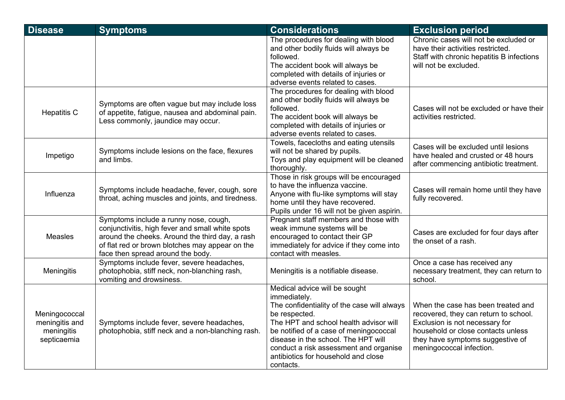| <b>Disease</b>                                               | <b>Symptoms</b>                                                                                                                                                                                                                      | <b>Considerations</b>                                                                                                                                                                                                                                                                                                                  | <b>Exclusion period</b>                                                                                                                                                                                             |
|--------------------------------------------------------------|--------------------------------------------------------------------------------------------------------------------------------------------------------------------------------------------------------------------------------------|----------------------------------------------------------------------------------------------------------------------------------------------------------------------------------------------------------------------------------------------------------------------------------------------------------------------------------------|---------------------------------------------------------------------------------------------------------------------------------------------------------------------------------------------------------------------|
|                                                              |                                                                                                                                                                                                                                      | The procedures for dealing with blood<br>and other bodily fluids will always be<br>followed.<br>The accident book will always be<br>completed with details of injuries or<br>adverse events related to cases.                                                                                                                          | Chronic cases will not be excluded or<br>have their activities restricted.<br>Staff with chronic hepatitis B infections<br>will not be excluded.                                                                    |
| <b>Hepatitis C</b>                                           | Symptoms are often vague but may include loss<br>of appetite, fatigue, nausea and abdominal pain.<br>Less commonly, jaundice may occur.                                                                                              | The procedures for dealing with blood<br>and other bodily fluids will always be<br>followed.<br>The accident book will always be<br>completed with details of injuries or<br>adverse events related to cases.                                                                                                                          | Cases will not be excluded or have their<br>activities restricted.                                                                                                                                                  |
| Impetigo                                                     | Symptoms include lesions on the face, flexures<br>and limbs.                                                                                                                                                                         | Towels, facecloths and eating utensils<br>will not be shared by pupils.<br>Toys and play equipment will be cleaned<br>thoroughly.                                                                                                                                                                                                      | Cases will be excluded until lesions<br>have healed and crusted or 48 hours<br>after commencing antibiotic treatment.                                                                                               |
| Influenza                                                    | Symptoms include headache, fever, cough, sore<br>throat, aching muscles and joints, and tiredness.                                                                                                                                   | Those in risk groups will be encouraged<br>to have the influenza vaccine.<br>Anyone with flu-like symptoms will stay<br>home until they have recovered.<br>Pupils under 16 will not be given aspirin.                                                                                                                                  | Cases will remain home until they have<br>fully recovered.                                                                                                                                                          |
| <b>Measles</b>                                               | Symptoms include a runny nose, cough,<br>conjunctivitis, high fever and small white spots<br>around the cheeks. Around the third day, a rash<br>of flat red or brown blotches may appear on the<br>face then spread around the body. | Pregnant staff members and those with<br>weak immune systems will be<br>encouraged to contact their GP<br>immediately for advice if they come into<br>contact with measles.                                                                                                                                                            | Cases are excluded for four days after<br>the onset of a rash.                                                                                                                                                      |
| Meningitis                                                   | Symptoms include fever, severe headaches,<br>photophobia, stiff neck, non-blanching rash,<br>vomiting and drowsiness.                                                                                                                | Meningitis is a notifiable disease.                                                                                                                                                                                                                                                                                                    | Once a case has received any<br>necessary treatment, they can return to<br>school.                                                                                                                                  |
| Meningococcal<br>meningitis and<br>meningitis<br>septicaemia | Symptoms include fever, severe headaches,<br>photophobia, stiff neck and a non-blanching rash.                                                                                                                                       | Medical advice will be sought<br>immediately.<br>The confidentiality of the case will always<br>be respected.<br>The HPT and school health advisor will<br>be notified of a case of meningococcal<br>disease in the school. The HPT will<br>conduct a risk assessment and organise<br>antibiotics for household and close<br>contacts. | When the case has been treated and<br>recovered, they can return to school.<br>Exclusion is not necessary for<br>household or close contacts unless<br>they have symptoms suggestive of<br>meningococcal infection. |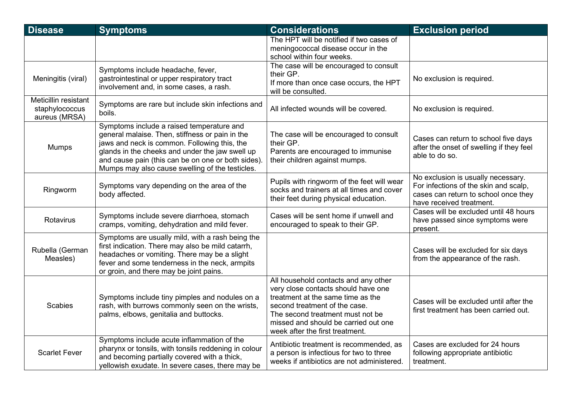| <b>Disease</b>                                          | <b>Symptoms</b>                                                                                                                                                                                                                                                                                          | <b>Considerations</b>                                                                                                                                                                                                                                            | <b>Exclusion period</b>                                                                                                                         |
|---------------------------------------------------------|----------------------------------------------------------------------------------------------------------------------------------------------------------------------------------------------------------------------------------------------------------------------------------------------------------|------------------------------------------------------------------------------------------------------------------------------------------------------------------------------------------------------------------------------------------------------------------|-------------------------------------------------------------------------------------------------------------------------------------------------|
|                                                         |                                                                                                                                                                                                                                                                                                          | The HPT will be notified if two cases of<br>meningococcal disease occur in the<br>school within four weeks.                                                                                                                                                      |                                                                                                                                                 |
| Meningitis (viral)                                      | Symptoms include headache, fever,<br>gastrointestinal or upper respiratory tract<br>involvement and, in some cases, a rash.                                                                                                                                                                              | The case will be encouraged to consult<br>their GP.<br>If more than once case occurs, the HPT<br>will be consulted.                                                                                                                                              | No exclusion is required.                                                                                                                       |
| Meticillin resistant<br>staphylococcus<br>aureus (MRSA) | Symptoms are rare but include skin infections and<br>boils.                                                                                                                                                                                                                                              | All infected wounds will be covered.                                                                                                                                                                                                                             | No exclusion is required.                                                                                                                       |
| <b>Mumps</b>                                            | Symptoms include a raised temperature and<br>general malaise. Then, stiffness or pain in the<br>jaws and neck is common. Following this, the<br>glands in the cheeks and under the jaw swell up<br>and cause pain (this can be on one or both sides).<br>Mumps may also cause swelling of the testicles. | The case will be encouraged to consult<br>their GP.<br>Parents are encouraged to immunise<br>their children against mumps.                                                                                                                                       | Cases can return to school five days<br>after the onset of swelling if they feel<br>able to do so.                                              |
| Ringworm                                                | Symptoms vary depending on the area of the<br>body affected.                                                                                                                                                                                                                                             | Pupils with ringworm of the feet will wear<br>socks and trainers at all times and cover<br>their feet during physical education.                                                                                                                                 | No exclusion is usually necessary.<br>For infections of the skin and scalp,<br>cases can return to school once they<br>have received treatment. |
| Rotavirus                                               | Symptoms include severe diarrhoea, stomach<br>cramps, vomiting, dehydration and mild fever.                                                                                                                                                                                                              | Cases will be sent home if unwell and<br>encouraged to speak to their GP.                                                                                                                                                                                        | Cases will be excluded until 48 hours<br>have passed since symptoms were<br>present.                                                            |
| Rubella (German<br>Measles)                             | Symptoms are usually mild, with a rash being the<br>first indication. There may also be mild catarrh,<br>headaches or vomiting. There may be a slight<br>fever and some tenderness in the neck, armpits<br>or groin, and there may be joint pains.                                                       |                                                                                                                                                                                                                                                                  | Cases will be excluded for six days<br>from the appearance of the rash.                                                                         |
| <b>Scabies</b>                                          | Symptoms include tiny pimples and nodules on a<br>rash, with burrows commonly seen on the wrists,<br>palms, elbows, genitalia and buttocks.                                                                                                                                                              | All household contacts and any other<br>very close contacts should have one<br>treatment at the same time as the<br>second treatment of the case.<br>The second treatment must not be<br>missed and should be carried out one<br>week after the first treatment. | Cases will be excluded until after the<br>first treatment has been carried out.                                                                 |
| <b>Scarlet Fever</b>                                    | Symptoms include acute inflammation of the<br>pharynx or tonsils, with tonsils reddening in colour<br>and becoming partially covered with a thick,<br>yellowish exudate. In severe cases, there may be                                                                                                   | Antibiotic treatment is recommended, as<br>a person is infectious for two to three<br>weeks if antibiotics are not administered.                                                                                                                                 | Cases are excluded for 24 hours<br>following appropriate antibiotic<br>treatment.                                                               |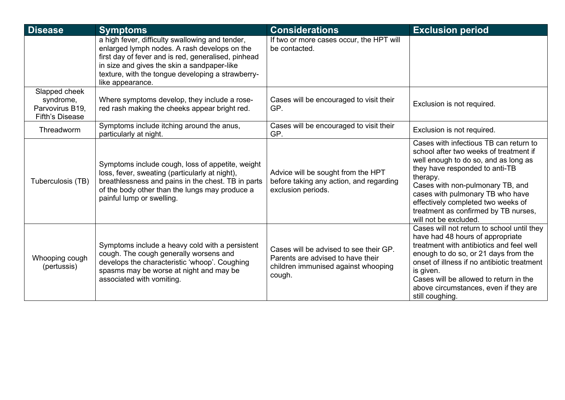| <b>Disease</b>                                                          | <b>Symptoms</b>                                                                                                                                                                                                                                                                | <b>Considerations</b>                                                                                                        | <b>Exclusion period</b>                                                                                                                                                                                                                                                                                                                               |
|-------------------------------------------------------------------------|--------------------------------------------------------------------------------------------------------------------------------------------------------------------------------------------------------------------------------------------------------------------------------|------------------------------------------------------------------------------------------------------------------------------|-------------------------------------------------------------------------------------------------------------------------------------------------------------------------------------------------------------------------------------------------------------------------------------------------------------------------------------------------------|
|                                                                         | a high fever, difficulty swallowing and tender,<br>enlarged lymph nodes. A rash develops on the<br>first day of fever and is red, generalised, pinhead<br>in size and gives the skin a sandpaper-like<br>texture, with the tongue developing a strawberry-<br>like appearance. | If two or more cases occur, the HPT will<br>be contacted.                                                                    |                                                                                                                                                                                                                                                                                                                                                       |
| Slapped cheek<br>syndrome,<br>Parvovirus B19,<br><b>Fifth's Disease</b> | Where symptoms develop, they include a rose-<br>red rash making the cheeks appear bright red.                                                                                                                                                                                  | Cases will be encouraged to visit their<br>GP.                                                                               | Exclusion is not required.                                                                                                                                                                                                                                                                                                                            |
| Threadworm                                                              | Symptoms include itching around the anus,<br>particularly at night.                                                                                                                                                                                                            | Cases will be encouraged to visit their<br>GP.                                                                               | Exclusion is not required.                                                                                                                                                                                                                                                                                                                            |
| Tuberculosis (TB)                                                       | Symptoms include cough, loss of appetite, weight<br>loss, fever, sweating (particularly at night),<br>breathlessness and pains in the chest. TB in parts<br>of the body other than the lungs may produce a<br>painful lump or swelling.                                        | Advice will be sought from the HPT<br>before taking any action, and regarding<br>exclusion periods.                          | Cases with infectious TB can return to<br>school after two weeks of treatment if<br>well enough to do so, and as long as<br>they have responded to anti-TB<br>therapy.<br>Cases with non-pulmonary TB, and<br>cases with pulmonary TB who have<br>effectively completed two weeks of<br>treatment as confirmed by TB nurses,<br>will not be excluded. |
| Whooping cough<br>(pertussis)                                           | Symptoms include a heavy cold with a persistent<br>cough. The cough generally worsens and<br>develops the characteristic 'whoop'. Coughing<br>spasms may be worse at night and may be<br>associated with vomiting.                                                             | Cases will be advised to see their GP.<br>Parents are advised to have their<br>children immunised against whooping<br>cough. | Cases will not return to school until they<br>have had 48 hours of appropriate<br>treatment with antibiotics and feel well<br>enough to do so, or 21 days from the<br>onset of illness if no antibiotic treatment<br>is given.<br>Cases will be allowed to return in the<br>above circumstances, even if they are<br>still coughing.                  |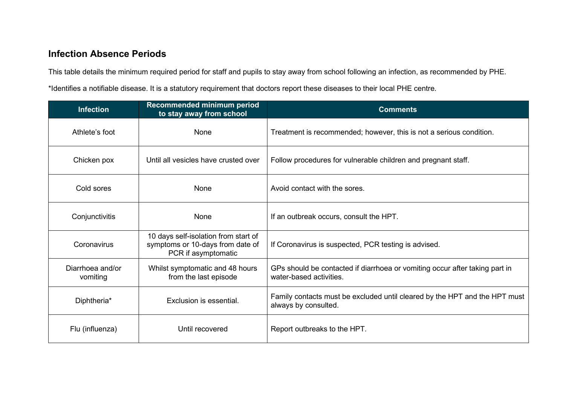# **Infection Absence Periods**

This table details the minimum required period for staff and pupils to stay away from school following an infection, as recommended by PHE. \*Identifies a notifiable disease. It is a statutory requirement that doctors report these diseases to their local PHE centre.

| <b>Infection</b>             | Recommended minimum period<br>to stay away from school                                          | <b>Comments</b>                                                                                        |
|------------------------------|-------------------------------------------------------------------------------------------------|--------------------------------------------------------------------------------------------------------|
| Athlete's foot               | None                                                                                            | Treatment is recommended; however, this is not a serious condition.                                    |
| Chicken pox                  | Until all vesicles have crusted over                                                            | Follow procedures for vulnerable children and pregnant staff.                                          |
| Cold sores                   | None                                                                                            | Avoid contact with the sores.                                                                          |
| Conjunctivitis               | None                                                                                            | If an outbreak occurs, consult the HPT.                                                                |
| Coronavirus                  | 10 days self-isolation from start of<br>symptoms or 10-days from date of<br>PCR if asymptomatic | If Coronavirus is suspected, PCR testing is advised.                                                   |
| Diarrhoea and/or<br>vomiting | Whilst symptomatic and 48 hours<br>from the last episode                                        | GPs should be contacted if diarrhoea or vomiting occur after taking part in<br>water-based activities. |
| Diphtheria*                  | Exclusion is essential.                                                                         | Family contacts must be excluded until cleared by the HPT and the HPT must<br>always by consulted.     |
| Flu (influenza)              | Until recovered                                                                                 | Report outbreaks to the HPT.                                                                           |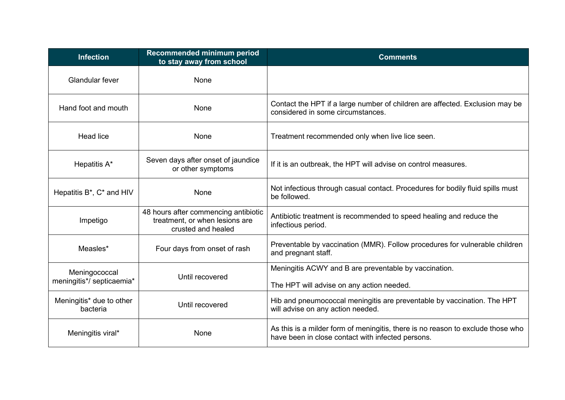| <b>Infection</b>                           | Recommended minimum period<br>to stay away from school                                       | <b>Comments</b>                                                                                                                      |  |
|--------------------------------------------|----------------------------------------------------------------------------------------------|--------------------------------------------------------------------------------------------------------------------------------------|--|
| <b>Glandular fever</b>                     | None                                                                                         |                                                                                                                                      |  |
| Hand foot and mouth                        | None                                                                                         | Contact the HPT if a large number of children are affected. Exclusion may be<br>considered in some circumstances.                    |  |
| <b>Head lice</b>                           | None                                                                                         | Treatment recommended only when live lice seen.                                                                                      |  |
| Hepatitis A*                               | Seven days after onset of jaundice<br>or other symptoms                                      | If it is an outbreak, the HPT will advise on control measures.                                                                       |  |
| Hepatitis B*, C* and HIV                   | <b>None</b>                                                                                  | Not infectious through casual contact. Procedures for bodily fluid spills must<br>be followed.                                       |  |
| Impetigo                                   | 48 hours after commencing antibiotic<br>treatment, or when lesions are<br>crusted and healed | Antibiotic treatment is recommended to speed healing and reduce the<br>infectious period.                                            |  |
| Measles*                                   | Four days from onset of rash                                                                 | Preventable by vaccination (MMR). Follow procedures for vulnerable children<br>and pregnant staff.                                   |  |
| Meningococcal<br>meningitis*/ septicaemia* | Until recovered                                                                              | Meningitis ACWY and B are preventable by vaccination.<br>The HPT will advise on any action needed.                                   |  |
| Meningitis* due to other<br>bacteria       | Until recovered                                                                              | Hib and pneumococcal meningitis are preventable by vaccination. The HPT<br>will advise on any action needed.                         |  |
| Meningitis viral*                          | None                                                                                         | As this is a milder form of meningitis, there is no reason to exclude those who<br>have been in close contact with infected persons. |  |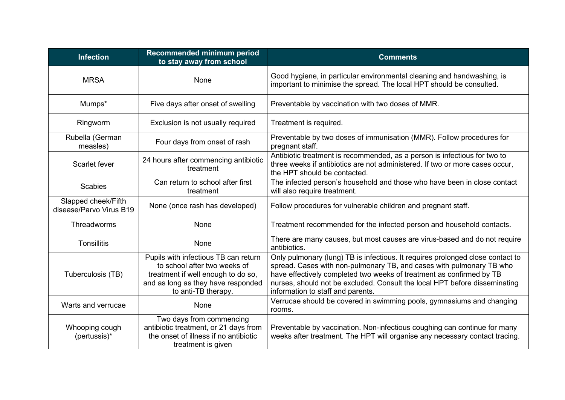| <b>Infection</b>                               | Recommended minimum period<br>to stay away from school                                                                                                                  | <b>Comments</b>                                                                                                                                                                                                                                                                                                                                   |  |
|------------------------------------------------|-------------------------------------------------------------------------------------------------------------------------------------------------------------------------|---------------------------------------------------------------------------------------------------------------------------------------------------------------------------------------------------------------------------------------------------------------------------------------------------------------------------------------------------|--|
| <b>MRSA</b>                                    | <b>None</b>                                                                                                                                                             | Good hygiene, in particular environmental cleaning and handwashing, is<br>important to minimise the spread. The local HPT should be consulted.                                                                                                                                                                                                    |  |
| Mumps*                                         | Five days after onset of swelling                                                                                                                                       | Preventable by vaccination with two doses of MMR.                                                                                                                                                                                                                                                                                                 |  |
| Ringworm                                       | Exclusion is not usually required                                                                                                                                       | Treatment is required.                                                                                                                                                                                                                                                                                                                            |  |
| Rubella (German<br>measles)                    | Four days from onset of rash                                                                                                                                            | Preventable by two doses of immunisation (MMR). Follow procedures for<br>pregnant staff.                                                                                                                                                                                                                                                          |  |
| Scarlet fever                                  | 24 hours after commencing antibiotic<br>treatment                                                                                                                       | Antibiotic treatment is recommended, as a person is infectious for two to<br>three weeks if antibiotics are not administered. If two or more cases occur,<br>the HPT should be contacted.                                                                                                                                                         |  |
| <b>Scabies</b>                                 | Can return to school after first<br>treatment                                                                                                                           | The infected person's household and those who have been in close contact<br>will also require treatment.                                                                                                                                                                                                                                          |  |
| Slapped cheek/Fifth<br>disease/Parvo Virus B19 | None (once rash has developed)                                                                                                                                          | Follow procedures for vulnerable children and pregnant staff.                                                                                                                                                                                                                                                                                     |  |
| Threadworms                                    | <b>None</b>                                                                                                                                                             | Treatment recommended for the infected person and household contacts.                                                                                                                                                                                                                                                                             |  |
| <b>Tonsillitis</b>                             | <b>None</b>                                                                                                                                                             | There are many causes, but most causes are virus-based and do not require<br>antibiotics.                                                                                                                                                                                                                                                         |  |
| Tuberculosis (TB)                              | Pupils with infectious TB can return<br>to school after two weeks of<br>treatment if well enough to do so,<br>and as long as they have responded<br>to anti-TB therapy. | Only pulmonary (lung) TB is infectious. It requires prolonged close contact to<br>spread. Cases with non-pulmonary TB, and cases with pulmonary TB who<br>have effectively completed two weeks of treatment as confirmed by TB<br>nurses, should not be excluded. Consult the local HPT before disseminating<br>information to staff and parents. |  |
| Warts and verrucae                             | None                                                                                                                                                                    | Verrucae should be covered in swimming pools, gymnasiums and changing<br>rooms.                                                                                                                                                                                                                                                                   |  |
| Whooping cough<br>(pertussis)*                 | Two days from commencing<br>antibiotic treatment, or 21 days from<br>the onset of illness if no antibiotic<br>treatment is given                                        | Preventable by vaccination. Non-infectious coughing can continue for many<br>weeks after treatment. The HPT will organise any necessary contact tracing.                                                                                                                                                                                          |  |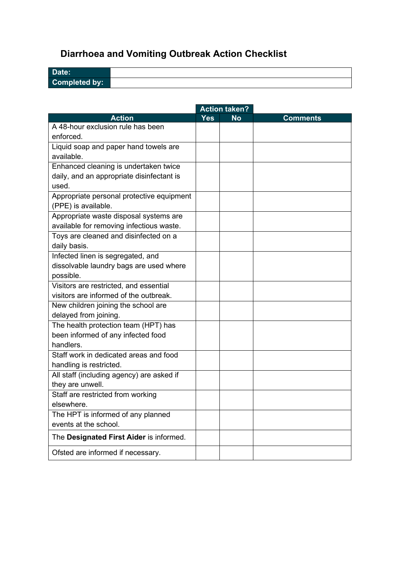# <span id="page-29-0"></span>**Diarrhoea and Vomiting Outbreak Action Checklist**

| Date:                |  |
|----------------------|--|
| <b>Completed by:</b> |  |

|                                           | <b>Action taken?</b> |           |                 |
|-------------------------------------------|----------------------|-----------|-----------------|
| <b>Action</b>                             | <b>Yes</b>           | <b>No</b> | <b>Comments</b> |
| A 48-hour exclusion rule has been         |                      |           |                 |
| enforced.                                 |                      |           |                 |
| Liquid soap and paper hand towels are     |                      |           |                 |
| available.                                |                      |           |                 |
| Enhanced cleaning is undertaken twice     |                      |           |                 |
| daily, and an appropriate disinfectant is |                      |           |                 |
| used.                                     |                      |           |                 |
| Appropriate personal protective equipment |                      |           |                 |
| (PPE) is available.                       |                      |           |                 |
| Appropriate waste disposal systems are    |                      |           |                 |
| available for removing infectious waste.  |                      |           |                 |
| Toys are cleaned and disinfected on a     |                      |           |                 |
| daily basis.                              |                      |           |                 |
| Infected linen is segregated, and         |                      |           |                 |
| dissolvable laundry bags are used where   |                      |           |                 |
| possible.                                 |                      |           |                 |
| Visitors are restricted, and essential    |                      |           |                 |
| visitors are informed of the outbreak.    |                      |           |                 |
| New children joining the school are       |                      |           |                 |
| delayed from joining.                     |                      |           |                 |
| The health protection team (HPT) has      |                      |           |                 |
| been informed of any infected food        |                      |           |                 |
| handlers.                                 |                      |           |                 |
| Staff work in dedicated areas and food    |                      |           |                 |
| handling is restricted.                   |                      |           |                 |
| All staff (including agency) are asked if |                      |           |                 |
| they are unwell.                          |                      |           |                 |
| Staff are restricted from working         |                      |           |                 |
| elsewhere.                                |                      |           |                 |
| The HPT is informed of any planned        |                      |           |                 |
| events at the school.                     |                      |           |                 |
| The Designated First Aider is informed.   |                      |           |                 |
| Ofsted are informed if necessary.         |                      |           |                 |